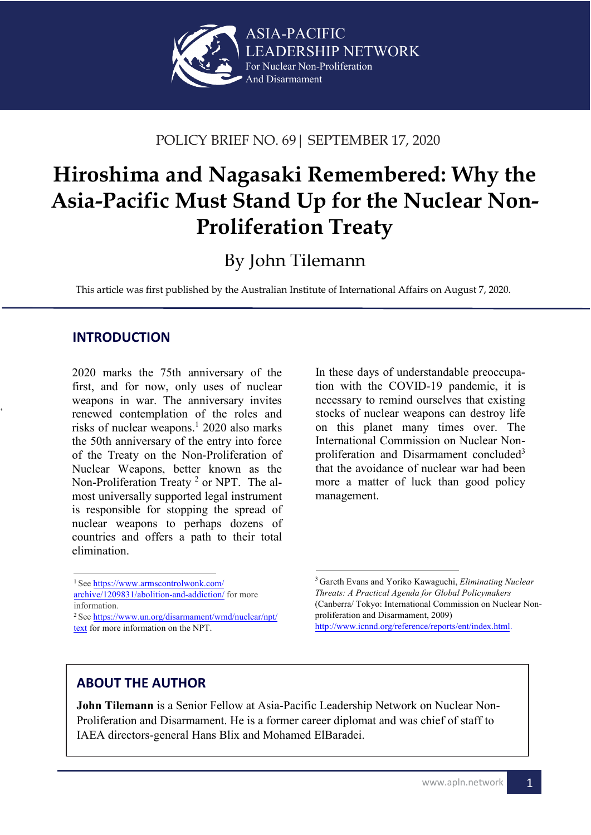

### POLICY BRIEF NO. 69| SEPTEMBER 17, 2020

# e **Hiroshima and Nagasaki Remembered: Why the Asia-Pacific Must Stand Up for the Nuclear Non-Proliferation Treaty**

## By John Tilemann

This article was first published by the Australian Institute of International Affairs on August 7, 2020.

#### **INTRODUCTION**

 $\ddot{\phantom{0}}$ 

2020 marks the 75th anniversary of the first, and for now, only uses of nuclear weapons in war. The anniversary invites renewed contemplation of the roles and risks of nuclear weapons.<sup>1</sup> 2020 also marks the 50th anniversary of the entry into force of the Treaty on the Non-Proliferation of Nuclear Weapons, better known as the Non-Proliferation Treaty<sup>2</sup> or NPT. The almost universally supported legal instrument is responsible for stopping the spread of nuclear weapons to perhaps dozens of countries and offers a path to their total elimination.

In these days of understandable preoccupa-

#### **ABOUT THE AUTHOR**

**John Tilemann** is a Senior Fellow at Asia-Pacific Leadership Network on Nuclear Non-Proliferation and Disarmament. He is a former career diplomat and was chief of staff to IAEA directors-general Hans Blix and Mohamed ElBaradei.

tion with the COVID-19 pandemic, it is necessary to remind ourselves that existing stocks of nuclear weapons can destroy life on this planet many times over. The International Commission on Nuclear Nonproliferation and Disarmament concluded<sup>3</sup> that the avoidance of nuclear war had been more a matter of luck than good policy management.

<sup>1</sup>See https://www.armscontrolwonk.com/

[archive/1209831/abolition-and-addiction/](https://www.armscontrolwonk.com/archive/1209831/abolition-and-addiction/) for more information.

<sup>&</sup>lt;sup>2</sup> See [https://www.un.org/disarmament/wmd/nuclear/npt/](https://www.un.org/disarmament/wmd/nuclear/npt/text) text for more information on the NPT.

<sup>3</sup>Gareth Evans and Yoriko Kawaguchi, *Eliminating Nuclear Threats: A Practical Agenda for Global Policymakers* (Canberra/ Tokyo: International Commission on Nuclear Nonproliferation and Disarmament, 2009) http://www.icnnd.org/reference/reports/ent/index.html.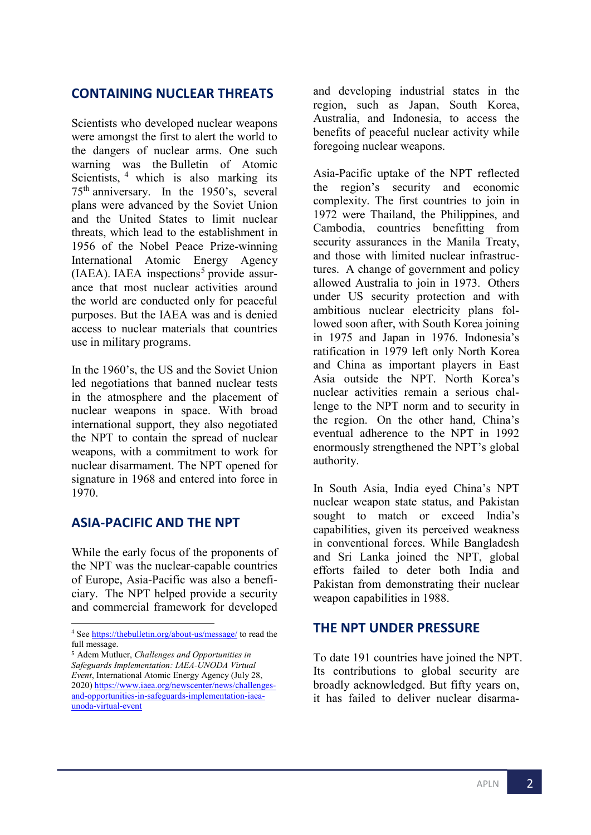#### **CONTAINING NUCLEAR THREATS**

Scientists who developed nuclear weapons were amongst the first to alert the world to the dangers of nuclear arms. One such warning was the Bulletin of Atomic Scientists, <sup>[4](#page-1-0)</sup> which is also marking its 75th anniversary. In the 1950's, several plans were advanced by the Soviet Union and the United States to limit nuclear threats, which lead to the establishment in 1956 of the Nobel Peace Prize-winning International Atomic Energy Agency  $(IAEA)$ . IAEA inspections<sup>[5](#page-1-1)</sup> provide assurance that most nuclear activities around the world are conducted only for peaceful purposes. But the IAEA was and is denied access to nuclear materials that countries use in military programs.

In the 1960's, the US and the Soviet Union led negotiations that banned nuclear tests in the atmosphere and the placement of nuclear weapons in space. With broad international support, they also negotiated the NPT to contain the spread of nuclear weapons, with a commitment to work for nuclear disarmament. The NPT opened for signature in 1968 and entered into force in 1970.

#### **ASIA-PACIFIC AND THE NPT**

While the early focus of the proponents of the NPT was the nuclear-capable countries of Europe, Asia-Pacific was also a beneficiary. The NPT helped provide a security and commercial framework for developed

and developing industrial states in the region, such as Japan, South Korea, Australia, and Indonesia, to access the benefits of peaceful nuclear activity while foregoing nuclear weapons.

Asia-Pacific uptake of the NPT reflected the region's security and economic complexity. The first countries to join in 1972 were Thailand, the Philippines, and Cambodia, countries benefitting from security assurances in the Manila Treaty, and those with limited nuclear infrastructures. A change of government and policy allowed Australia to join in 1973. Others under US security protection and with ambitious nuclear electricity plans followed soon after, with South Korea joining in 1975 and Japan in 1976. Indonesia's ratification in 1979 left only North Korea and China as important players in East Asia outside the NPT. North Korea's nuclear activities remain a serious challenge to the NPT norm and to security in the region. On the other hand, China's eventual adherence to the NPT in 1992 enormously strengthened the NPT's global authority.

In South Asia, India eyed China's NPT nuclear weapon state status, and Pakistan sought to match or exceed India's capabilities, given its perceived weakness in conventional forces. While Bangladesh and Sri Lanka joined the NPT, global efforts failed to deter both India and Pakistan from demonstrating their nuclear weapon capabilities in 1988.

#### **THE NPT UNDER PRESSURE**

To date 191 countries have joined the NPT. Its contributions to global security are broadly acknowledged. But fifty years on, it has failed to deliver nuclear disarma-

<span id="page-1-0"></span><sup>4</sup> Se[e https://thebulletin.org/about-us/message/](https://thebulletin.org/about-us/message/) to read the full message.

<span id="page-1-1"></span><sup>5</sup> Adem Mutluer, *Challenges and Opportunities in Safeguards Implementation: IAEA-UNODA Virtual Event*, International Atomic Energy Agency (July 28, 2020[\) https://www.iaea.org/newscenter/news/challenges](https://www.iaea.org/newscenter/news/challenges-and-opportunities-in-safeguards-implementation-iaea-unoda-virtual-event)[and-opportunities-in-safeguards-implementation-iaea](https://www.iaea.org/newscenter/news/challenges-and-opportunities-in-safeguards-implementation-iaea-unoda-virtual-event)[unoda-virtual-event](https://www.iaea.org/newscenter/news/challenges-and-opportunities-in-safeguards-implementation-iaea-unoda-virtual-event)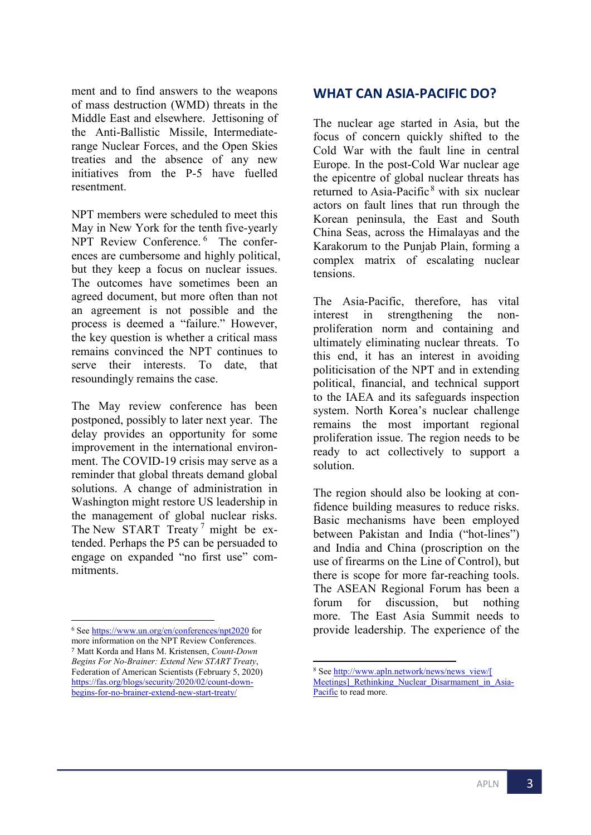ment and to find answers to the weapons of mass destruction (WMD) threats in the Middle East and elsewhere. Jettisoning of the Anti-Ballistic Missile, Intermediaterange Nuclear Forces, and the Open Skies treaties and the absence of any new initiatives from the P-5 have fuelled resentment.

NPT members were scheduled to meet this May in New York for the tenth five-yearly NPT Review Conference.<sup>[6](#page-2-0)</sup> The conferences are cumbersome and highly political, but they keep a focus on nuclear issues. The outcomes have sometimes been an agreed document, but more often than not an agreement is not possible and the process is deemed a "failure." However, the key question is whether a critical mass remains convinced the NPT continues to serve their interests. To date, that resoundingly remains the case.

The May review conference has been postponed, possibly to later next year. The delay provides an opportunity for some improvement in the international environment. The COVID-19 crisis may serve as a reminder that global threats demand global solutions. A change of administration in Washington might restore US leadership in the management of global nuclear risks. The New START Treaty<sup>[7](#page-2-1)</sup> might be extended. Perhaps the P5 can be persuaded to engage on expanded "no first use" commitments.

#### **WHAT CAN ASIA-PACIFIC DO?**

The nuclear age started in Asia, but the focus of concern quickly shifted to the Cold War with the fault line in central Europe. In the post-Cold War nuclear age the epicentre of global nuclear threats has returned to Asia-Pacific [8](#page-2-2) with six nuclear actors on fault lines that run through the Korean peninsula, the East and South China Seas, across the Himalayas and the Karakorum to the Punjab Plain, forming a complex matrix of escalating nuclear tensions.

The Asia-Pacific, therefore, has vital interest in strengthening the nonproliferation norm and containing and ultimately eliminating nuclear threats. To this end, it has an interest in avoiding politicisation of the NPT and in extending political, financial, and technical support to the IAEA and its safeguards inspection system. North Korea's nuclear challenge remains the most important regional proliferation issue. The region needs to be ready to act collectively to support a solution.

The region should also be looking at confidence building measures to reduce risks. Basic mechanisms have been employed between Pakistan and India ("hot-lines") and India and China (proscription on the use of firearms on the Line of Control), but there is scope for more far-reaching tools. The ASEAN Regional Forum has been a forum for discussion, but nothing more. The East Asia Summit needs to provide leadership. The experience of the

<span id="page-2-2"></span><span id="page-2-1"></span><span id="page-2-0"></span><sup>6</sup> Se[e https://www.un.org/en/conferences/npt2020](https://www.un.org/en/conferences/npt2020) for more information on the NPT Review Conferences. <sup>7</sup> Matt Korda and Hans M. Kristensen, *Count-Down Begins For No-Brainer: Extend New START Treaty*, Federation of American Scientists (February 5, 2020) https://fas.org/blogs/security/2020/02/count-down[begins-for-no-brainer-extend-new-start-treaty/](https://fas.org/blogs/security/2020/02/count-down-begins-for-no-brainer-extend-new-start-treaty/)

<sup>8</sup> See [http://www.apln.network/news/news\\_view/\[](http://www.apln.network/news/news_view/%5bMeetings%5d_Rethinking_Nuclear_Disarmament_in_Asia-Pacific) Meetings] Rethinking Nuclear Disarmament in Asia-[Pacific](http://www.apln.network/news/news_view/%5bMeetings%5d_Rethinking_Nuclear_Disarmament_in_Asia-Pacific) to read more.